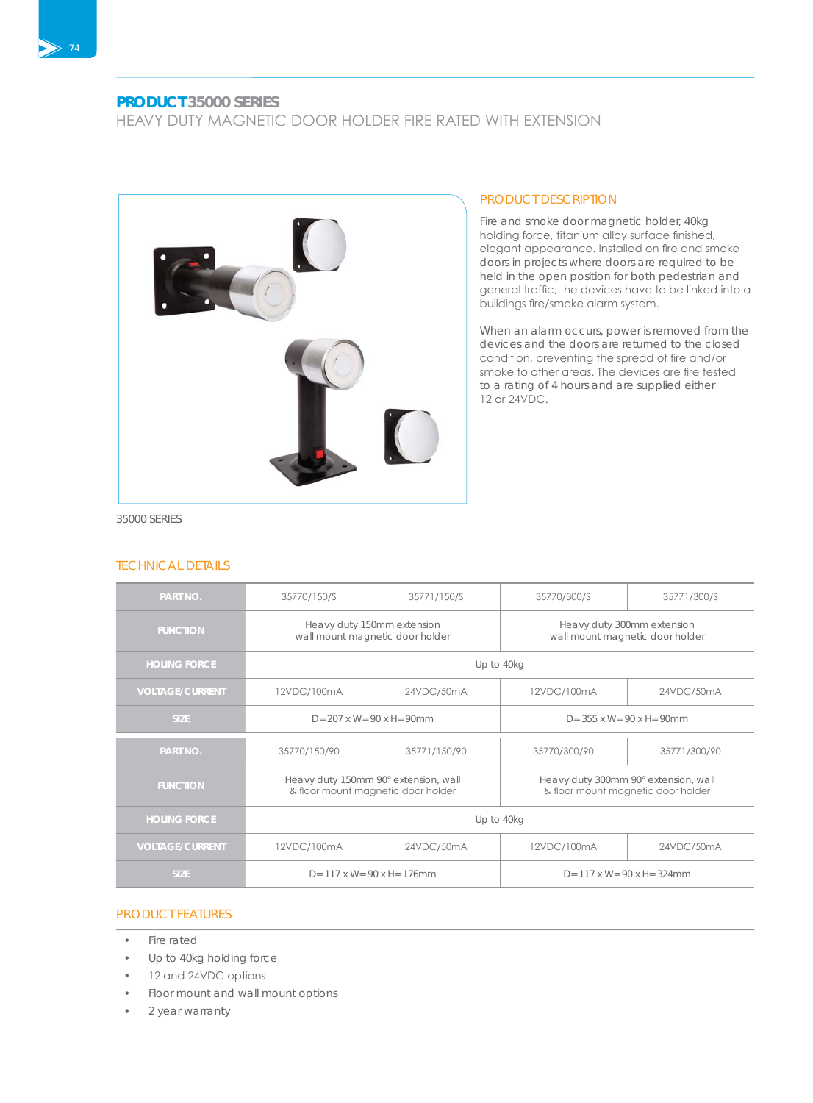## **PRODUCT 35000 SERIES**

HEAVY DUTY MAGNETIC DOOR HOLDER FIRE RATED WITH EXTENSION



### PRODUCT DESCRIPTION

Fire and smoke door magnetic holder, 40kg holding force, titanium alloy surface finished, elegant appearance. Installed on fire and smoke doors in projects where doors are required to be held in the open position for both pedestrian and general traffic, the devices have to be linked into a buildings fire/smoke alarm system.

When an alarm occurs, power is removed from the devices and the doors are returned to the closed condition, preventing the spread of fire and/or smoke to other areas. The devices are fire tested to a rating of 4 hours and are supplied either 12 or 24VDC.

35000 SERIES

#### TECHNICAL DETAILS

| <b>PART NO.</b>        | 35770/150/S                                                                | 35771/150/S  | 35770/300/S                                                                | 35771/300/S  |
|------------------------|----------------------------------------------------------------------------|--------------|----------------------------------------------------------------------------|--------------|
| <b>FUNCTION</b>        | Heavy duty 150mm extension<br>wall mount magnetic door holder              |              | Heavy duty 300mm extension<br>wall mount magnetic door holder              |              |
| <b>HOLING FORCE</b>    | Up to 40kg                                                                 |              |                                                                            |              |
| <b>VOLTAGE/CURRENT</b> | 12VDC/100mA                                                                | 24VDC/50mA   | 12VDC/100mA                                                                | 24VDC/50mA   |
| <b>SIZE</b>            | $D = 207 \times W = 90 \times H = 90$ mm                                   |              | $D = 355$ x W= 90 x H= 90mm                                                |              |
| PART NO.               | 35770/150/90                                                               | 35771/150/90 | 35770/300/90                                                               | 35771/300/90 |
| <b>FUNCTION</b>        | Heavy duty 150mm 90° extension, wall<br>& floor mount magnetic door holder |              | Heavy duty 300mm 90° extension, wall<br>& floor mount magnetic door holder |              |
| <b>HOLING FORCE</b>    | Up to 40kg                                                                 |              |                                                                            |              |
| <b>VOLTAGE/CURRENT</b> | 12VDC/100mA                                                                | 24VDC/50mA   | 12VDC/100mA                                                                | 24VDC/50mA   |
| <b>SIZE</b>            | $D = 117 \times W = 90 \times H = 176$ mm                                  |              | $D = 117 \times W = 90 \times H = 324$ mm                                  |              |

#### PRODUCT FEATURES

- Fire rated
- Up to 40kg holding force
- 12 and 24VDC options
- Floor mount and wall mount options
- 2 year warranty